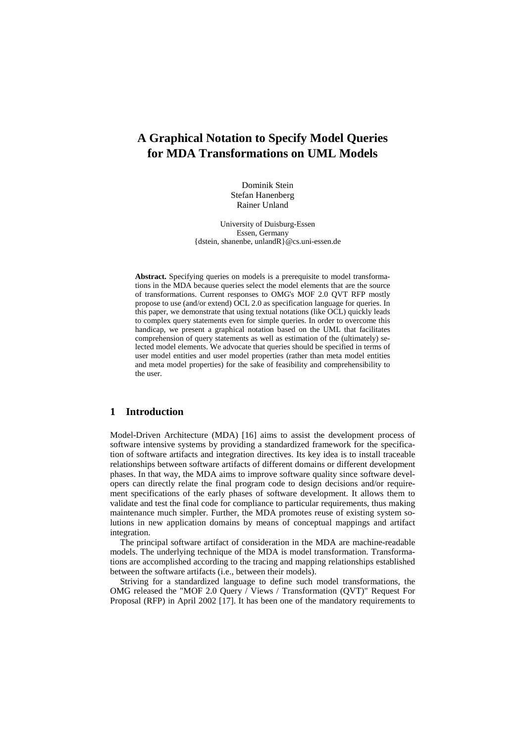# **A Graphical Notation to Specify Model Queries for MDA Transformations on UML Models**

Dominik Stein Stefan Hanenberg Rainer Unland

University of Duisburg-Essen Essen, Germany {dstein, shanenbe, unlandR}@cs.uni-essen.de

**Abstract.** Specifying queries on models is a prerequisite to model transformations in the MDA because queries select the model elements that are the source of transformations. Current responses to OMG's MOF 2.0 QVT RFP mostly propose to use (and/or extend) OCL 2.0 as specification language for queries. In this paper, we demonstrate that using textual notations (like OCL) quickly leads to complex query statements even for simple queries. In order to overcome this handicap, we present a graphical notation based on the UML that facilitates comprehension of query statements as well as estimation of the (ultimately) selected model elements. We advocate that queries should be specified in terms of user model entities and user model properties (rather than meta model entities and meta model properties) for the sake of feasibility and comprehensibility to the user.

# **1 Introduction**

Model-Driven Architecture (MDA) [16] aims to assist the development process of software intensive systems by providing a standardized framework for the specification of software artifacts and integration directives. Its key idea is to install traceable relationships between software artifacts of different domains or different development phases. In that way, the MDA aims to improve software quality since software developers can directly relate the final program code to design decisions and/or requirement specifications of the early phases of software development. It allows them to validate and test the final code for compliance to particular requirements, thus making maintenance much simpler. Further, the MDA promotes reuse of existing system solutions in new application domains by means of conceptual mappings and artifact integration.

The principal software artifact of consideration in the MDA are machine-readable models. The underlying technique of the MDA is model transformation. Transformations are accomplished according to the tracing and mapping relationships established between the software artifacts (i.e., between their models).

Striving for a standardized language to define such model transformations, the OMG released the "MOF 2.0 Query / Views / Transformation (QVT)" Request For Proposal (RFP) in April 2002 [17]. It has been one of the mandatory requirements to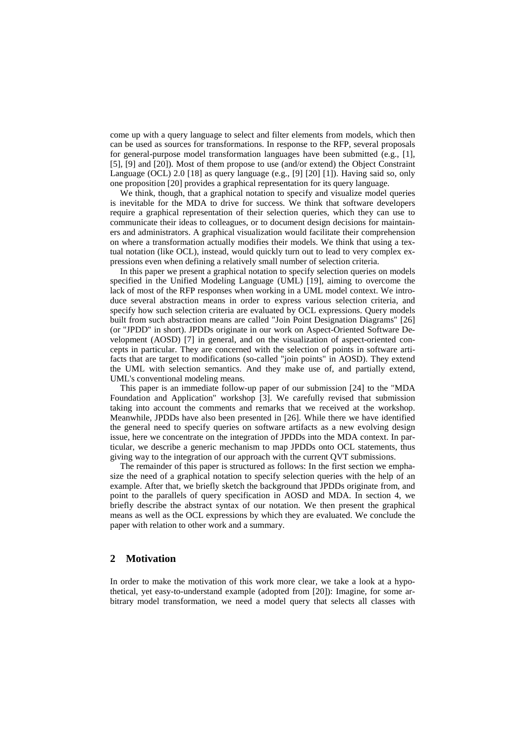come up with a query language to select and filter elements from models, which then can be used as sources for transformations. In response to the RFP, several proposals for general-purpose model transformation languages have been submitted (e.g., [1], [5], [9] and [20]). Most of them propose to use (and/or extend) the Object Constraint Language (OCL) 2.0 [18] as query language (e.g., [9] [20] [1]). Having said so, only one proposition [20] provides a graphical representation for its query language.

We think, though, that a graphical notation to specify and visualize model queries is inevitable for the MDA to drive for success. We think that software developers require a graphical representation of their selection queries, which they can use to communicate their ideas to colleagues, or to document design decisions for maintainers and administrators. A graphical visualization would facilitate their comprehension on where a transformation actually modifies their models. We think that using a textual notation (like OCL), instead, would quickly turn out to lead to very complex expressions even when defining a relatively small number of selection criteria.

In this paper we present a graphical notation to specify selection queries on models specified in the Unified Modeling Language (UML) [19], aiming to overcome the lack of most of the RFP responses when working in a UML model context. We introduce several abstraction means in order to express various selection criteria, and specify how such selection criteria are evaluated by OCL expressions. Query models built from such abstraction means are called "Join Point Designation Diagrams" [26] (or "JPDD" in short). JPDDs originate in our work on Aspect-Oriented Software Development (AOSD) [7] in general, and on the visualization of aspect-oriented concepts in particular. They are concerned with the selection of points in software artifacts that are target to modifications (so-called "join points" in AOSD). They extend the UML with selection semantics. And they make use of, and partially extend, UML's conventional modeling means.

This paper is an immediate follow-up paper of our submission [24] to the "MDA Foundation and Application" workshop [3]. We carefully revised that submission taking into account the comments and remarks that we received at the workshop. Meanwhile, JPDDs have also been presented in [26]. While there we have identified the general need to specify queries on software artifacts as a new evolving design issue, here we concentrate on the integration of JPDDs into the MDA context. In particular, we describe a generic mechanism to map JPDDs onto OCL statements, thus giving way to the integration of our approach with the current QVT submissions.

The remainder of this paper is structured as follows: In the first section we emphasize the need of a graphical notation to specify selection queries with the help of an example. After that, we briefly sketch the background that JPDDs originate from, and point to the parallels of query specification in AOSD and MDA. In section 4, we briefly describe the abstract syntax of our notation. We then present the graphical means as well as the OCL expressions by which they are evaluated. We conclude the paper with relation to other work and a summary.

# **2 Motivation**

In order to make the motivation of this work more clear, we take a look at a hypothetical, yet easy-to-understand example (adopted from [20]): Imagine, for some arbitrary model transformation, we need a model query that selects all classes with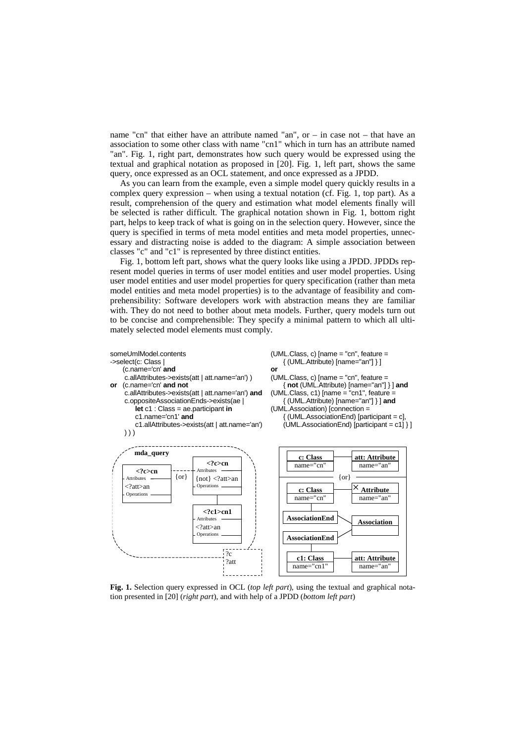name "cn" that either have an attribute named "an", or – in case not – that have an association to some other class with name "cn1" which in turn has an attribute named "an". Fig. 1, right part, demonstrates how such query would be expressed using the textual and graphical notation as proposed in [20]. Fig. 1, left part, shows the same query, once expressed as an OCL statement, and once expressed as a JPDD.

As you can learn from the example, even a simple model query quickly results in a complex query expression – when using a textual notation (cf. Fig. 1, top part). As a result, comprehension of the query and estimation what model elements finally will be selected is rather difficult. The graphical notation shown in Fig. 1, bottom right part, helps to keep track of what is going on in the selection query. However, since the query is specified in terms of meta model entities and meta model properties, unnecessary and distracting noise is added to the diagram: A simple association between classes "c" and "c1" is represented by three distinct entities.

Fig. 1, bottom left part, shows what the query looks like using a JPDD. JPDDs represent model queries in terms of user model entities and user model properties. Using user model entities and user model properties for query specification (rather than meta model entities and meta model properties) is to the advantage of feasibility and comprehensibility: Software developers work with abstraction means they are familiar with. They do not need to bother about meta models. Further, query models turn out to be concise and comprehensible: They specify a minimal pattern to which all ultimately selected model elements must comply.



**Fig. 1.** Selection query expressed in OCL (*top left part*), using the textual and graphical notation presented in [20] (*right part*), and with help of a JPDD (*bottom left part*)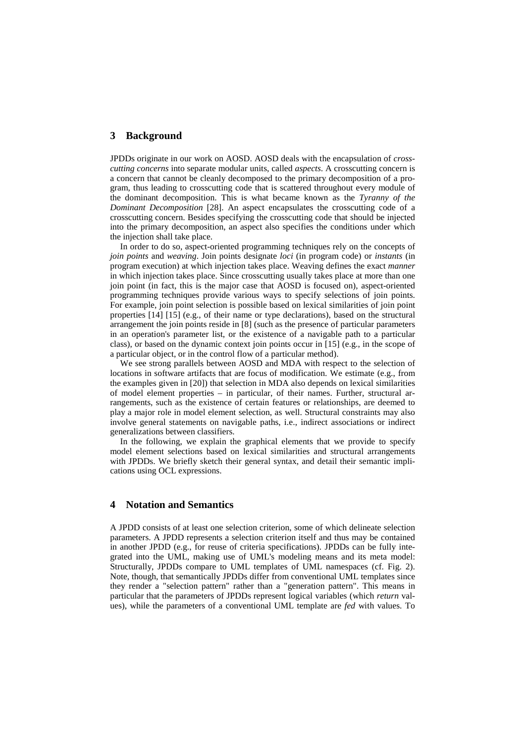## **3 Background**

JPDDs originate in our work on AOSD. AOSD deals with the encapsulation of *crosscutting concerns* into separate modular units, called *aspects*. A crosscutting concern is a concern that cannot be cleanly decomposed to the primary decomposition of a program, thus leading to crosscutting code that is scattered throughout every module of the dominant decomposition. This is what became known as the *Tyranny of the Dominant Decomposition* [28]. An aspect encapsulates the crosscutting code of a crosscutting concern. Besides specifying the crosscutting code that should be injected into the primary decomposition, an aspect also specifies the conditions under which the injection shall take place.

In order to do so, aspect-oriented programming techniques rely on the concepts of *join points* and *weaving*. Join points designate *loci* (in program code) or *instants* (in program execution) at which injection takes place. Weaving defines the exact *manner* in which injection takes place. Since crosscutting usually takes place at more than one join point (in fact, this is the major case that AOSD is focused on), aspect-oriented programming techniques provide various ways to specify selections of join points. For example, join point selection is possible based on lexical similarities of join point properties [14] [15] (e.g., of their name or type declarations), based on the structural arrangement the join points reside in [8] (such as the presence of particular parameters in an operation's parameter list, or the existence of a navigable path to a particular class), or based on the dynamic context join points occur in [15] (e.g., in the scope of a particular object, or in the control flow of a particular method).

We see strong parallels between AOSD and MDA with respect to the selection of locations in software artifacts that are focus of modification. We estimate (e.g., from the examples given in [20]) that selection in MDA also depends on lexical similarities of model element properties – in particular, of their names. Further, structural arrangements, such as the existence of certain features or relationships, are deemed to play a major role in model element selection, as well. Structural constraints may also involve general statements on navigable paths, i.e., indirect associations or indirect generalizations between classifiers.

In the following, we explain the graphical elements that we provide to specify model element selections based on lexical similarities and structural arrangements with JPDDs. We briefly sketch their general syntax, and detail their semantic implications using OCL expressions.

## **4 Notation and Semantics**

A JPDD consists of at least one selection criterion, some of which delineate selection parameters. A JPDD represents a selection criterion itself and thus may be contained in another JPDD (e.g., for reuse of criteria specifications). JPDDs can be fully integrated into the UML, making use of UML's modeling means and its meta model: Structurally, JPDDs compare to UML templates of UML namespaces (cf. Fig. 2). Note, though, that semantically JPDDs differ from conventional UML templates since they render a "selection pattern" rather than a "generation pattern". This means in particular that the parameters of JPDDs represent logical variables (which *return* values), while the parameters of a conventional UML template are *fed* with values. To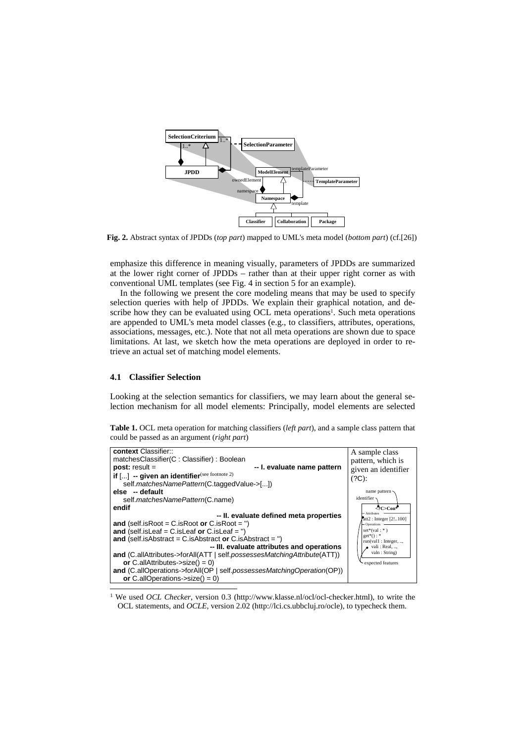

**Fig. 2.** Abstract syntax of JPDDs (*top part*) mapped to UML's meta model (*bottom part*) (cf.[26])

emphasize this difference in meaning visually, parameters of JPDDs are summarized at the lower right corner of JPDDs – rather than at their upper right corner as with conventional UML templates (see Fig. 4 in section 5 for an example).

In the following we present the core modeling means that may be used to specify selection queries with help of JPDDs. We explain their graphical notation, and describe how they can be evaluated using OCL meta operations<sup>1</sup>. Such meta operations are appended to UML's meta model classes (e.g., to classifiers, attributes, operations, associations, messages, etc.). Note that not all meta operations are shown due to space limitations. At last, we sketch how the meta operations are deployed in order to retrieve an actual set of matching model elements.

#### **4.1 Classifier Selection**

-

Looking at the selection semantics for classifiers, we may learn about the general selection mechanism for all model elements: Principally, model elements are selected

**Table 1.** OCL meta operation for matching classifiers (*left part*), and a sample class pattern that could be passed as an argument (*right part*)

| context Classifier::                                                     | A sample class                        |
|--------------------------------------------------------------------------|---------------------------------------|
| matchesClassifier(C: Classifier): Boolean                                | pattern, which is                     |
| -- I. evaluate name pattern<br>$post: result =$                          | given an identifier                   |
| if [] -- given an identifier(see footnote 2)                             | $(2C)$ :                              |
| self.matchesNamePattern(C.taggedValue->[])                               |                                       |
| else -- default                                                          | name pattern ·                        |
| self.matchesNamePattern(C.name)                                          | identifier ~                          |
| endif                                                                    | $\langle$ ?C>Con*                     |
| -- II. evaluate defined meta properties                                  | - Attributes<br>att2: Integer [2!100] |
| and (self.isRoot = $C.isRoot$ or $C.isRoot = ")$                         | - Operations                          |
| and (self.isLeaf = $C.isLeaf$ or $C.isLeaf = "$ )                        | $set*(val : * )$                      |
| and (self.isAbstract = $C.isAbstract$ or $C.isAbstract$ = ")             | $get*() :$<br>run(val1: Integer,      |
| -- III. evaluate attributes and operations                               | vali: Real,                           |
| and (C.allAttributes->forAll(ATT   self.possessesMatchingAttribute(ATT)) | valn: String)                         |
| or C.allAttributes- $\text{size}() = 0$                                  | expected features                     |
| and (C.allOperations->forAll(OP   self.possessesMatchingOperation(OP))   |                                       |
| or C.allOperations- $\text{size}() = 0$                                  |                                       |

<sup>&</sup>lt;sup>1</sup> We used *OCL Checker*, version 0.3 (http://www.klasse.nl/ocl/ocl-checker.html), to write the OCL statements, and *OCLE*, version 2.02 (http://lci.cs.ubbcluj.ro/ocle), to typecheck them.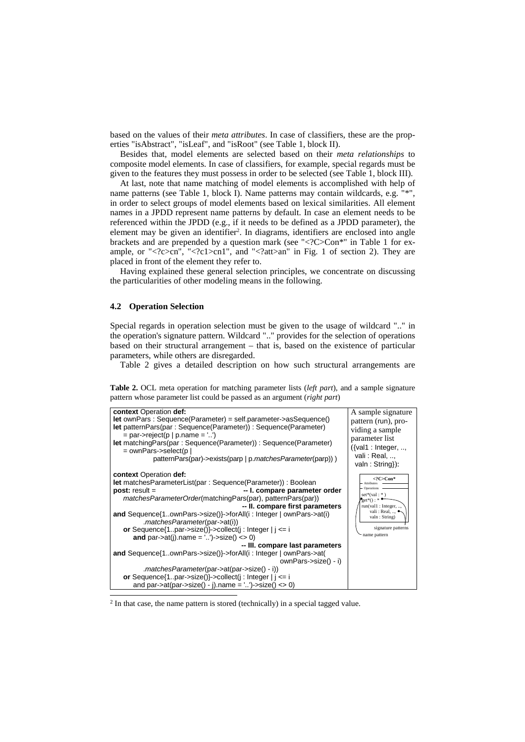based on the values of their *meta attributes*. In case of classifiers, these are the properties "isAbstract", "isLeaf", and "isRoot" (see Table 1, block II).

Besides that, model elements are selected based on their *meta relationships* to composite model elements. In case of classifiers, for example, special regards must be given to the features they must possess in order to be selected (see Table 1, block III).

At last, note that name matching of model elements is accomplished with help of name patterns (see Table 1, block I). Name patterns may contain wildcards, e.g. "\*", in order to select groups of model elements based on lexical similarities. All element names in a JPDD represent name patterns by default. In case an element needs to be referenced within the JPDD (e.g., if it needs to be defined as a JPDD parameter), the element may be given an identifier<sup>2</sup>. In diagrams, identifiers are enclosed into angle brackets and are prepended by a question mark (see "<?C>Con\*" in Table 1 for example, or "<?c>cn", "<?c1>cn1", and "<?att>an" in Fig. 1 of section 2). They are placed in front of the element they refer to.

Having explained these general selection principles, we concentrate on discussing the particularities of other modeling means in the following.

#### **4.2 Operation Selection**

Special regards in operation selection must be given to the usage of wildcard ".." in the operation's signature pattern. Wildcard ".." provides for the selection of operations based on their structural arrangement – that is, based on the existence of particular parameters, while others are disregarded.

Table 2 gives a detailed description on how such structural arrangements are

**Table 2.** OCL meta operation for matching parameter lists (*left part*), and a sample signature pattern whose parameter list could be passed as an argument (*right part*)



<sup>2</sup> In that case, the name pattern is stored (technically) in a special tagged value.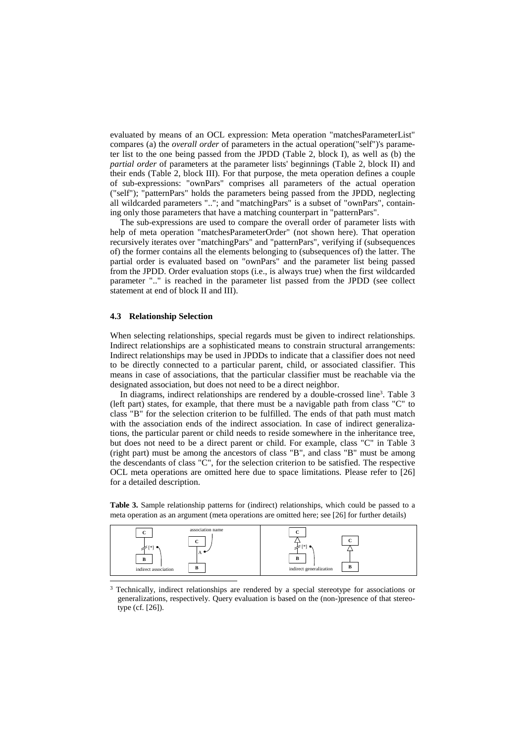evaluated by means of an OCL expression: Meta operation "matchesParameterList" compares (a) the *overall order* of parameters in the actual operation("self")'s parameter list to the one being passed from the JPDD (Table 2, block I), as well as (b) the *partial order* of parameters at the parameter lists' beginnings (Table 2, block II) and their ends (Table 2, block III). For that purpose, the meta operation defines a couple of sub-expressions: "ownPars" comprises all parameters of the actual operation ("self"); "patternPars" holds the parameters being passed from the JPDD, neglecting all wildcarded parameters ".."; and "matchingPars" is a subset of "ownPars", containing only those parameters that have a matching counterpart in "patternPars".

The sub-expressions are used to compare the overall order of parameter lists with help of meta operation "matchesParameterOrder" (not shown here). That operation recursively iterates over "matchingPars" and "patternPars", verifying if (subsequences of) the former contains all the elements belonging to (subsequences of) the latter. The partial order is evaluated based on "ownPars" and the parameter list being passed from the JPDD. Order evaluation stops (i.e., is always true) when the first wildcarded parameter ".." is reached in the parameter list passed from the JPDD (see collect statement at end of block II and III).

#### **4.3 Relationship Selection**

When selecting relationships, special regards must be given to indirect relationships. Indirect relationships are a sophisticated means to constrain structural arrangements: Indirect relationships may be used in JPDDs to indicate that a classifier does not need to be directly connected to a particular parent, child, or associated classifier. This means in case of associations, that the particular classifier must be reachable via the designated association, but does not need to be a direct neighbor.

In diagrams, indirect relationships are rendered by a double-crossed line<sup>3</sup>. Table 3 (left part) states, for example, that there must be a navigable path from class "C" to class "B" for the selection criterion to be fulfilled. The ends of that path must match with the association ends of the indirect association. In case of indirect generalizations, the particular parent or child needs to reside somewhere in the inheritance tree, but does not need to be a direct parent or child. For example, class "C" in Table 3 (right part) must be among the ancestors of class "B", and class "B" must be among the descendants of class "C", for the selection criterion to be satisfied. The respective OCL meta operations are omitted here due to space limitations. Please refer to [26] for a detailed description.

**Table 3.** Sample relationship patterns for (indirect) relationships, which could be passed to a meta operation as an argument (meta operations are omitted here; see [26] for further details)



<sup>3</sup> Technically, indirect relationships are rendered by a special stereotype for associations or generalizations, respectively. Query evaluation is based on the (non-)presence of that stereotype (cf. [26]).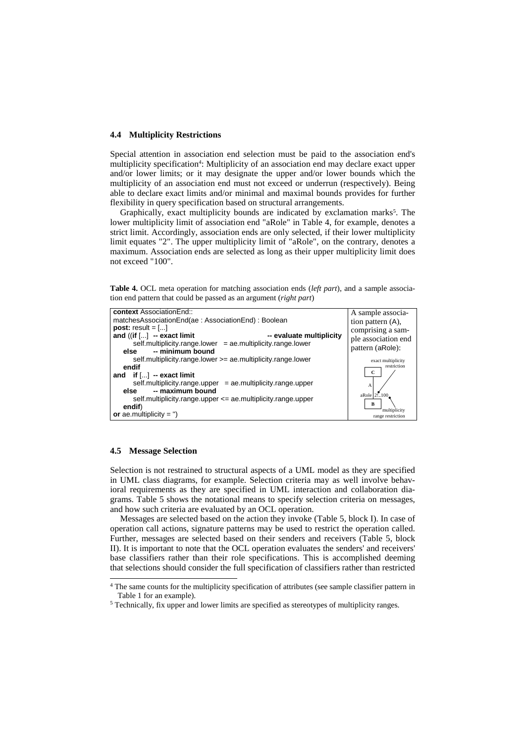#### **4.4 Multiplicity Restrictions**

Special attention in association end selection must be paid to the association end's multiplicity specification<sup>4</sup>: Multiplicity of an association end may declare exact upper and/or lower limits; or it may designate the upper and/or lower bounds which the multiplicity of an association end must not exceed or underrun (respectively). Being able to declare exact limits and/or minimal and maximal bounds provides for further flexibility in query specification based on structural arrangements.

Graphically, exact multiplicity bounds are indicated by exclamation marks<sup>5</sup>. The lower multiplicity limit of association end "aRole" in Table 4, for example, denotes a strict limit. Accordingly, association ends are only selected, if their lower multiplicity limit equates "2". The upper multiplicity limit of "aRole", on the contrary, denotes a maximum. Association ends are selected as long as their upper multiplicity limit does not exceed "100".

**Table 4.** OCL meta operation for matching association ends (*left part*), and a sample association end pattern that could be passed as an argument (*right part*)



#### **4.5 Message Selection**

l

Selection is not restrained to structural aspects of a UML model as they are specified in UML class diagrams, for example. Selection criteria may as well involve behavioral requirements as they are specified in UML interaction and collaboration diagrams. Table 5 shows the notational means to specify selection criteria on messages, and how such criteria are evaluated by an OCL operation.

Messages are selected based on the action they invoke (Table 5, block I). In case of operation call actions, signature patterns may be used to restrict the operation called. Further, messages are selected based on their senders and receivers (Table 5, block II). It is important to note that the OCL operation evaluates the senders' and receivers' base classifiers rather than their role specifications. This is accomplished deeming that selections should consider the full specification of classifiers rather than restricted

<sup>&</sup>lt;sup>4</sup> The same counts for the multiplicity specification of attributes (see sample classifier pattern in Table 1 for an example).

<sup>&</sup>lt;sup>5</sup> Technically, fix upper and lower limits are specified as stereotypes of multiplicity ranges.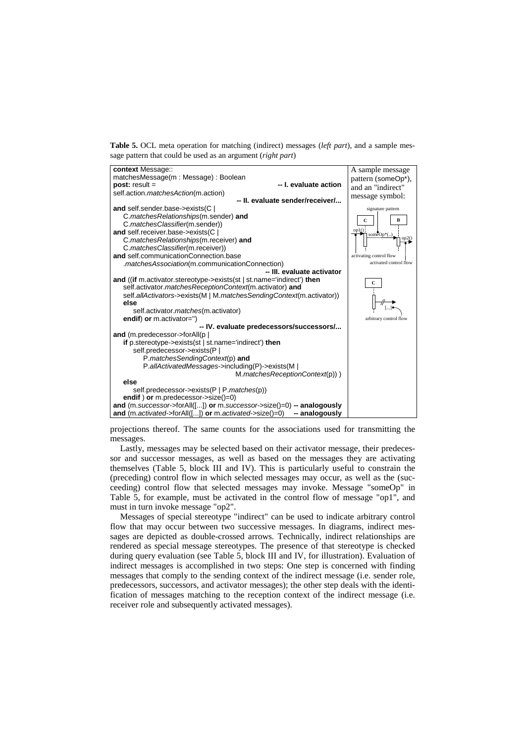**Table 5.** OCL meta operation for matching (indirect) messages (*left part*), and a sample message pattern that could be used as an argument (*right part*)



projections thereof. The same counts for the associations used for transmitting the messages.

Lastly, messages may be selected based on their activator message, their predecessor and successor messages, as well as based on the messages they are activating themselves (Table 5, block III and IV). This is particularly useful to constrain the (preceding) control flow in which selected messages may occur, as well as the (succeeding) control flow that selected messages may invoke. Message "someOp" in Table 5, for example, must be activated in the control flow of message "op1", and must in turn invoke message "op2".

Messages of special stereotype "indirect" can be used to indicate arbitrary control flow that may occur between two successive messages. In diagrams, indirect messages are depicted as double-crossed arrows. Technically, indirect relationships are rendered as special message stereotypes. The presence of that stereotype is checked during query evaluation (see Table 5, block III and IV, for illustration). Evaluation of indirect messages is accomplished in two steps: One step is concerned with finding messages that comply to the sending context of the indirect message (i.e. sender role, predecessors, successors, and activator messages); the other step deals with the identification of messages matching to the reception context of the indirect message (i.e. receiver role and subsequently activated messages).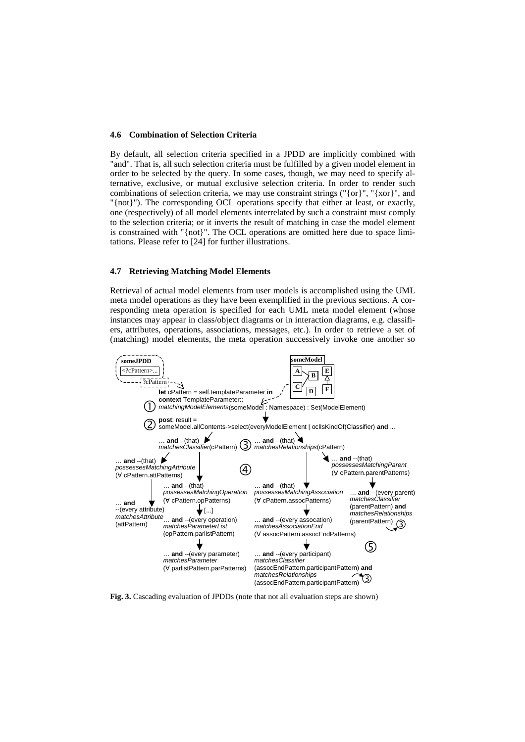#### **4.6 Combination of Selection Criteria**

By default, all selection criteria specified in a JPDD are implicitly combined with "and". That is, all such selection criteria must be fulfilled by a given model element in order to be selected by the query. In some cases, though, we may need to specify alternative, exclusive, or mutual exclusive selection criteria. In order to render such combinations of selection criteria, we may use constraint strings ("{or}", "{xor}", and "{not}"). The corresponding OCL operations specify that either at least, or exactly, one (respectively) of all model elements interrelated by such a constraint must comply to the selection criteria; or it inverts the result of matching in case the model element is constrained with "{not}". The OCL operations are omitted here due to space limitations. Please refer to [24] for further illustrations.

#### **4.7 Retrieving Matching Model Elements**

Retrieval of actual model elements from user models is accomplished using the UML meta model operations as they have been exemplified in the previous sections. A corresponding meta operation is specified for each UML meta model element (whose instances may appear in class/object diagrams or in interaction diagrams, e.g. classifiers, attributes, operations, associations, messages, etc.). In order to retrieve a set of (matching) model elements, the meta operation successively invoke one another so



Fig. 3. Cascading evaluation of JPDDs (note that not all evaluation steps are shown)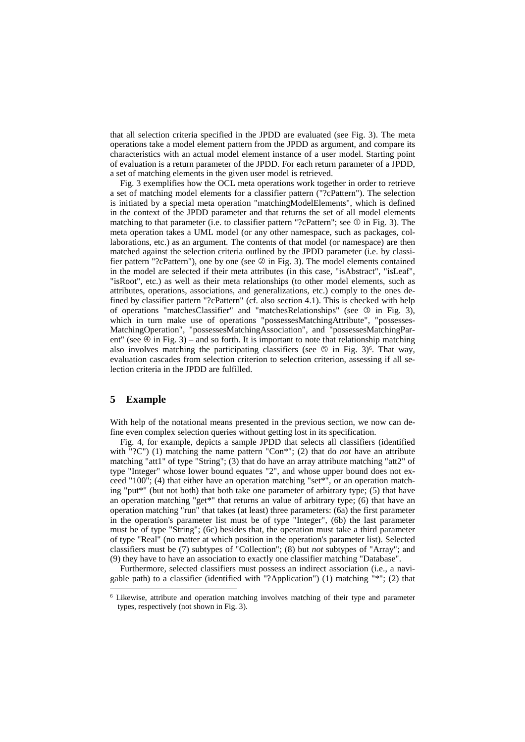that all selection criteria specified in the JPDD are evaluated (see Fig. 3). The meta operations take a model element pattern from the JPDD as argument, and compare its characteristics with an actual model element instance of a user model. Starting point of evaluation is a return parameter of the JPDD. For each return parameter of a JPDD, a set of matching elements in the given user model is retrieved.

Fig. 3 exemplifies how the OCL meta operations work together in order to retrieve a set of matching model elements for a classifier pattern ("?cPattern"). The selection is initiated by a special meta operation "matchingModelElements", which is defined in the context of the JPDD parameter and that returns the set of all model elements matching to that parameter (i.e. to classifier pattern "?cPattern"; see  $\mathbb O$  in Fig. 3). The meta operation takes a UML model (or any other namespace, such as packages, collaborations, etc.) as an argument. The contents of that model (or namespace) are then matched against the selection criteria outlined by the JPDD parameter (i.e. by classifier pattern "?cPattern"), one by one (see  $\oslash$  in Fig. 3). The model elements contained in the model are selected if their meta attributes (in this case, "isAbstract", "isLeaf", "isRoot", etc.) as well as their meta relationships (to other model elements, such as attributes, operations, associations, and generalizations, etc.) comply to the ones defined by classifier pattern "?cPattern" (cf. also section 4.1). This is checked with help of operations "matchesClassifier" and "matchesRelationships" (see  $\circledcirc$  in Fig. 3), which in turn make use of operations "possessesMatchingAttribute", "possesses-MatchingOperation", "possessesMatchingAssociation", and "possessesMatchingParent" (see  $\overline{\Phi}$  in Fig. 3) – and so forth. It is important to note that relationship matching also involves matching the participating classifiers (see  $\circledS$  in Fig. 3)<sup>6</sup>. That way, evaluation cascades from selection criterion to selection criterion, assessing if all selection criteria in the JPDD are fulfilled.

# **5 Example**

With help of the notational means presented in the previous section, we now can define even complex selection queries without getting lost in its specification.

Fig. 4, for example, depicts a sample JPDD that selects all classifiers (identified with "?C") (1) matching the name pattern "Con\*"; (2) that do *not* have an attribute matching "att1" of type "String"; (3) that do have an array attribute matching "att2" of type "Integer" whose lower bound equates "2", and whose upper bound does not exceed "100"; (4) that either have an operation matching "set\*", or an operation matching "put\*" (but not both) that both take one parameter of arbitrary type; (5) that have an operation matching "get\*" that returns an value of arbitrary type; (6) that have an operation matching "run" that takes (at least) three parameters: (6a) the first parameter in the operation's parameter list must be of type "Integer", (6b) the last parameter must be of type "String"; (6c) besides that, the operation must take a third parameter of type "Real" (no matter at which position in the operation's parameter list). Selected classifiers must be (7) subtypes of "Collection"; (8) but *not* subtypes of "Array"; and (9) they have to have an association to exactly one classifier matching "Database".

Furthermore, selected classifiers must possess an indirect association (i.e., a navigable path) to a classifier (identified with "?Application") (1) matching "\*"; (2) that -

<sup>&</sup>lt;sup>6</sup> Likewise, attribute and operation matching involves matching of their type and parameter types, respectively (not shown in Fig. 3).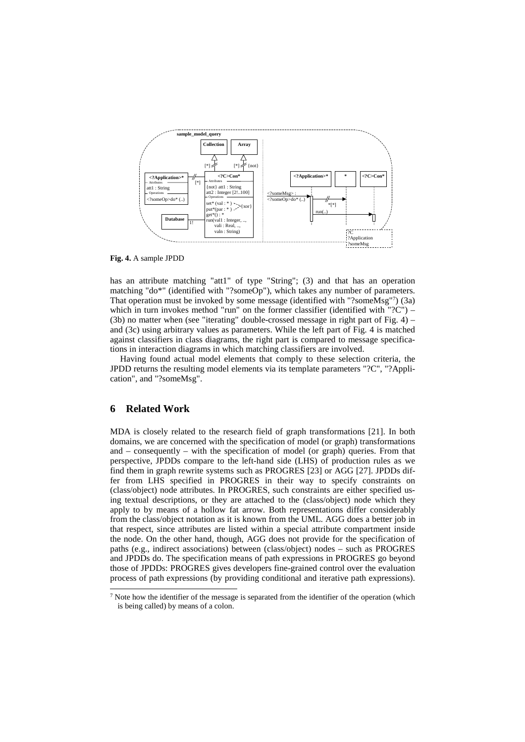

**Fig. 4.** A sample JPDD

has an attribute matching "att1" of type "String"; (3) and that has an operation matching "do\*" (identified with "?someOp"), which takes any number of parameters. That operation must be invoked by some message (identified with "?someMsg"<sup>7</sup> ) (3a) which in turn invokes method "run" on the former classifier (identified with "?C") – (3b) no matter when (see "iterating" double-crossed message in right part of Fig.  $4$ ) – and (3c) using arbitrary values as parameters. While the left part of Fig. 4 is matched against classifiers in class diagrams, the right part is compared to message specifications in interaction diagrams in which matching classifiers are involved.

Having found actual model elements that comply to these selection criteria, the JPDD returns the resulting model elements via its template parameters "?C", "?Application", and "?someMsg".

# **6 Related Work**

MDA is closely related to the research field of graph transformations [21]. In both domains, we are concerned with the specification of model (or graph) transformations and – consequently – with the specification of model (or graph) queries. From that perspective, JPDDs compare to the left-hand side (LHS) of production rules as we find them in graph rewrite systems such as PROGRES [23] or AGG [27]. JPDDs differ from LHS specified in PROGRES in their way to specify constraints on (class/object) node attributes. In PROGRES, such constraints are either specified using textual descriptions, or they are attached to the (class/object) node which they apply to by means of a hollow fat arrow. Both representations differ considerably from the class/object notation as it is known from the UML. AGG does a better job in that respect, since attributes are listed within a special attribute compartment inside the node. On the other hand, though, AGG does not provide for the specification of paths (e.g., indirect associations) between (class/object) nodes – such as PROGRES and JPDDs do. The specification means of path expressions in PROGRES go beyond those of JPDDs: PROGRES gives developers fine-grained control over the evaluation process of path expressions (by providing conditional and iterative path expressions). l

 $<sup>7</sup>$  Note how the identifier of the message is separated from the identifier of the operation (which</sup> is being called) by means of a colon.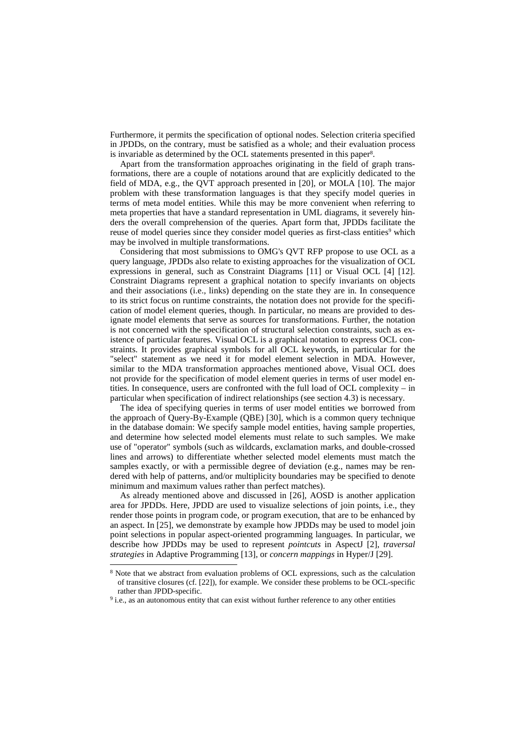Furthermore, it permits the specification of optional nodes. Selection criteria specified in JPDDs, on the contrary, must be satisfied as a whole; and their evaluation process is invariable as determined by the OCL statements presented in this paper<sup>8</sup>.

Apart from the transformation approaches originating in the field of graph transformations, there are a couple of notations around that are explicitly dedicated to the field of MDA, e.g., the QVT approach presented in [20], or MOLA [10]. The major problem with these transformation languages is that they specify model queries in terms of meta model entities. While this may be more convenient when referring to meta properties that have a standard representation in UML diagrams, it severely hinders the overall comprehension of the queries. Apart form that, JPDDs facilitate the reuse of model queries since they consider model queries as first-class entities<sup>9</sup> which may be involved in multiple transformations.

Considering that most submissions to OMG's QVT RFP propose to use OCL as a query language, JPDDs also relate to existing approaches for the visualization of OCL expressions in general, such as Constraint Diagrams [11] or Visual OCL [4] [12]. Constraint Diagrams represent a graphical notation to specify invariants on objects and their associations (i.e., links) depending on the state they are in. In consequence to its strict focus on runtime constraints, the notation does not provide for the specification of model element queries, though. In particular, no means are provided to designate model elements that serve as sources for transformations. Further, the notation is not concerned with the specification of structural selection constraints, such as existence of particular features. Visual OCL is a graphical notation to express OCL constraints. It provides graphical symbols for all OCL keywords, in particular for the "select" statement as we need it for model element selection in MDA. However, similar to the MDA transformation approaches mentioned above, Visual OCL does not provide for the specification of model element queries in terms of user model entities. In consequence, users are confronted with the full load of OCL complexity – in particular when specification of indirect relationships (see section 4.3) is necessary.

The idea of specifying queries in terms of user model entities we borrowed from the approach of Query-By-Example (QBE) [30], which is a common query technique in the database domain: We specify sample model entities, having sample properties, and determine how selected model elements must relate to such samples. We make use of "operator" symbols (such as wildcards, exclamation marks, and double-crossed lines and arrows) to differentiate whether selected model elements must match the samples exactly, or with a permissible degree of deviation (e.g., names may be rendered with help of patterns, and/or multiplicity boundaries may be specified to denote minimum and maximum values rather than perfect matches).

As already mentioned above and discussed in [26], AOSD is another application area for JPDDs. Here, JPDD are used to visualize selections of join points, i.e., they render those points in program code, or program execution, that are to be enhanced by an aspect. In [25], we demonstrate by example how JPDDs may be used to model join point selections in popular aspect-oriented programming languages. In particular, we describe how JPDDs may be used to represent *pointcuts* in AspectJ [2], *traversal strategies* in Adaptive Programming [13], or *concern mappings* in Hyper/J [29].

l

<sup>&</sup>lt;sup>8</sup> Note that we abstract from evaluation problems of OCL expressions, such as the calculation of transitive closures (cf. [22]), for example. We consider these problems to be OCL-specific rather than JPDD-specific.

<sup>&</sup>lt;sup>9</sup> i.e., as an autonomous entity that can exist without further reference to any other entities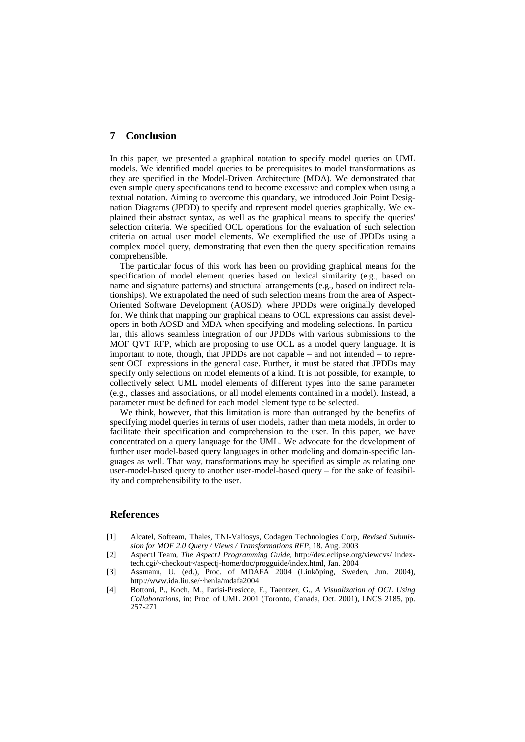## **7 Conclusion**

In this paper, we presented a graphical notation to specify model queries on UML models. We identified model queries to be prerequisites to model transformations as they are specified in the Model-Driven Architecture (MDA). We demonstrated that even simple query specifications tend to become excessive and complex when using a textual notation. Aiming to overcome this quandary, we introduced Join Point Designation Diagrams (JPDD) to specify and represent model queries graphically. We explained their abstract syntax, as well as the graphical means to specify the queries' selection criteria. We specified OCL operations for the evaluation of such selection criteria on actual user model elements. We exemplified the use of JPDDs using a complex model query, demonstrating that even then the query specification remains comprehensible.

The particular focus of this work has been on providing graphical means for the specification of model element queries based on lexical similarity (e.g., based on name and signature patterns) and structural arrangements (e.g., based on indirect relationships). We extrapolated the need of such selection means from the area of Aspect-Oriented Software Development (AOSD), where JPDDs were originally developed for. We think that mapping our graphical means to OCL expressions can assist developers in both AOSD and MDA when specifying and modeling selections. In particular, this allows seamless integration of our JPDDs with various submissions to the MOF QVT RFP, which are proposing to use OCL as a model query language. It is important to note, though, that JPDDs are not capable – and not intended – to represent OCL expressions in the general case. Further, it must be stated that JPDDs may specify only selections on model elements of a kind. It is not possible, for example, to collectively select UML model elements of different types into the same parameter (e.g., classes and associations, or all model elements contained in a model). Instead, a parameter must be defined for each model element type to be selected.

We think, however, that this limitation is more than outranged by the benefits of specifying model queries in terms of user models, rather than meta models, in order to facilitate their specification and comprehension to the user. In this paper, we have concentrated on a query language for the UML. We advocate for the development of further user model-based query languages in other modeling and domain-specific languages as well. That way, transformations may be specified as simple as relating one user-model-based query to another user-model-based query – for the sake of feasibility and comprehensibility to the user.

# **References**

- [1] Alcatel, Softeam, Thales, TNI-Valiosys, Codagen Technologies Corp, *Revised Submission for MOF 2.0 Query / Views / Transformations RFP*, 18. Aug. 2003
- [2] AspectJ Team, *The AspectJ Programming Guide*, http://dev.eclipse.org/viewcvs/ indextech.cgi/~checkout~/aspectj-home/doc/progguide/index.html, Jan. 2004
- [3] Assmann, U. (ed.), Proc. of MDAFA 2004 (Linköping, Sweden, Jun. 2004), http://www.ida.liu.se/~henla/mdafa2004
- [4] Bottoni, P., Koch, M., Parisi-Presicce, F., Taentzer, G., *A Visualization of OCL Using Collaborations*, in: Proc. of UML 2001 (Toronto, Canada, Oct. 2001), LNCS 2185, pp. 257-271